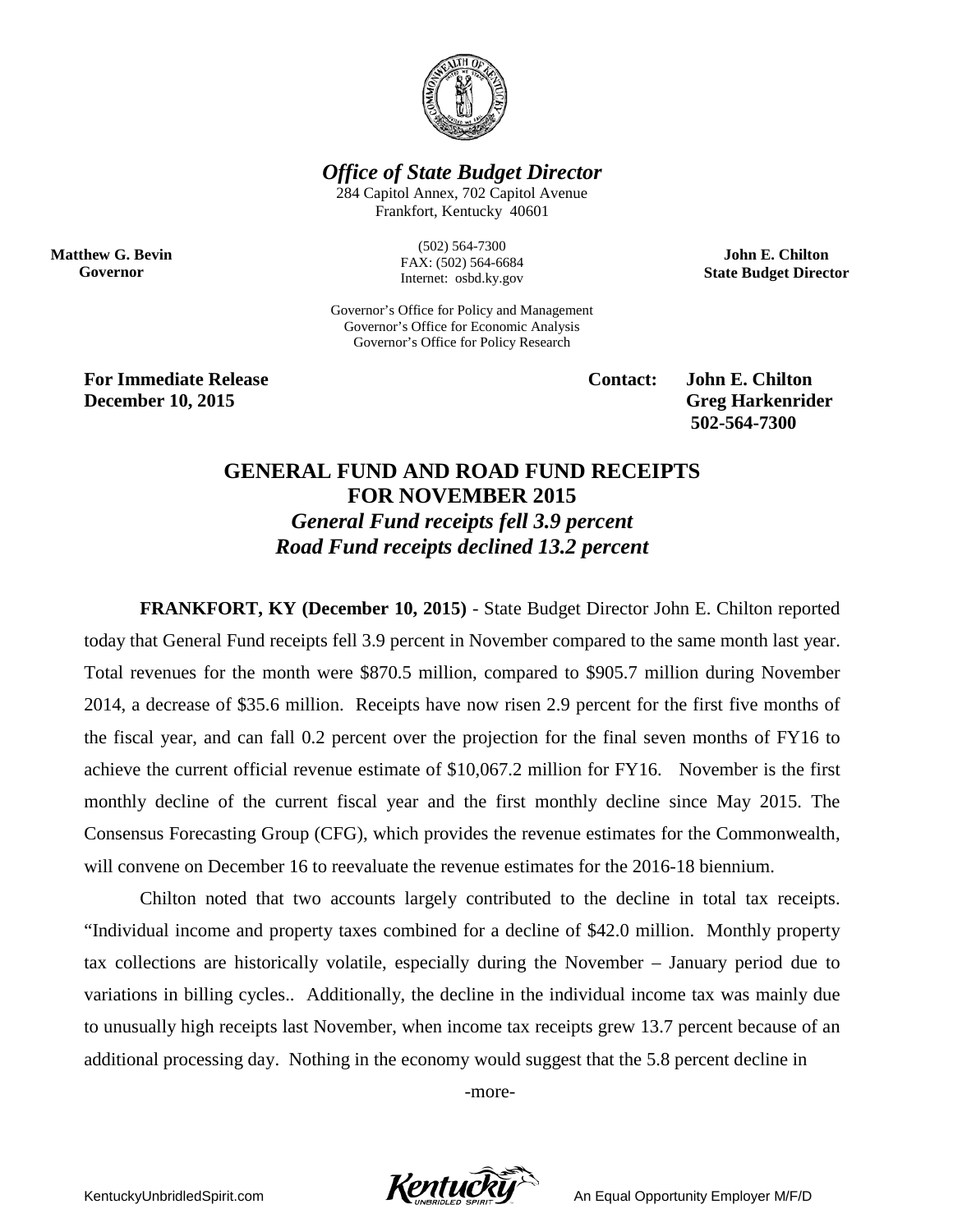

*Office of State Budget Director*

284 Capitol Annex, 702 Capitol Avenue Frankfort, Kentucky 40601

**Matthew G. Bevin Governor**

(502) 564-7300 FAX: (502) 564-6684 Internet: osbd.ky.gov

Governor's Office for Policy and Management Governor's Office for Economic Analysis Governor's Office for Policy Research

**For Immediate Release Contact: John E. Chilton December 10, 2015** Greg Harkenrider

**502-564-7300** 

**John E. Chilton State Budget Director**

## **GENERAL FUND AND ROAD FUND RECEIPTS FOR NOVEMBER 2015** *General Fund receipts fell 3.9 percent Road Fund receipts declined 13.2 percent*

**FRANKFORT, KY (December 10, 2015)** - State Budget Director John E. Chilton reported today that General Fund receipts fell 3.9 percent in November compared to the same month last year. Total revenues for the month were \$870.5 million, compared to \$905.7 million during November 2014, a decrease of \$35.6 million. Receipts have now risen 2.9 percent for the first five months of the fiscal year, and can fall 0.2 percent over the projection for the final seven months of FY16 to achieve the current official revenue estimate of \$10,067.2 million for FY16. November is the first monthly decline of the current fiscal year and the first monthly decline since May 2015. The Consensus Forecasting Group (CFG), which provides the revenue estimates for the Commonwealth, will convene on December 16 to reevaluate the revenue estimates for the 2016-18 biennium.

Chilton noted that two accounts largely contributed to the decline in total tax receipts. "Individual income and property taxes combined for a decline of \$42.0 million. Monthly property tax collections are historically volatile, especially during the November – January period due to variations in billing cycles.. Additionally, the decline in the individual income tax was mainly due to unusually high receipts last November, when income tax receipts grew 13.7 percent because of an additional processing day. Nothing in the economy would suggest that the 5.8 percent decline in

-more-

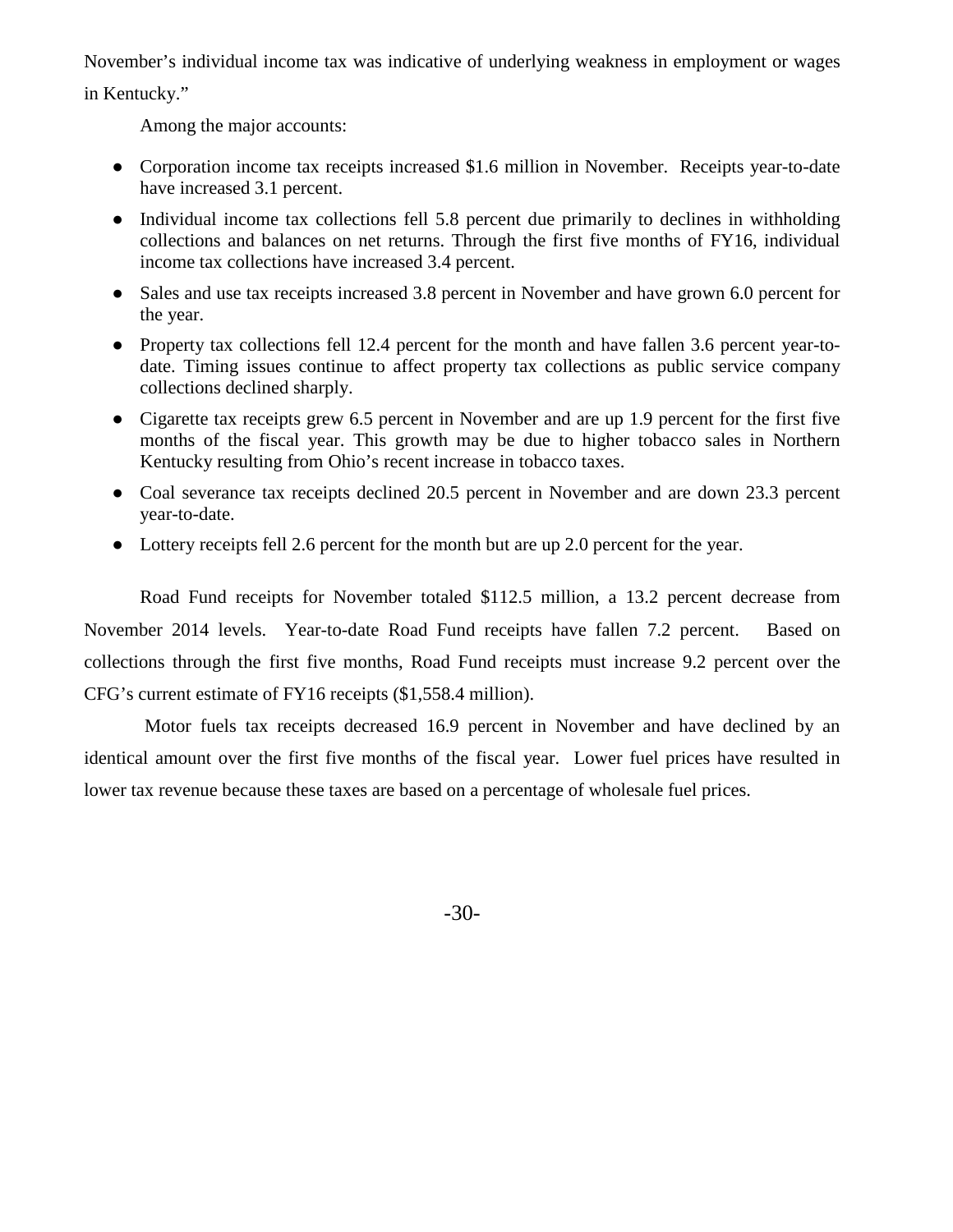November's individual income tax was indicative of underlying weakness in employment or wages in Kentucky."

Among the major accounts:

- Corporation income tax receipts increased \$1.6 million in November. Receipts year-to-date have increased 3.1 percent.
- Individual income tax collections fell 5.8 percent due primarily to declines in withholding collections and balances on net returns. Through the first five months of FY16, individual income tax collections have increased 3.4 percent.
- Sales and use tax receipts increased 3.8 percent in November and have grown 6.0 percent for the year.
- Property tax collections fell 12.4 percent for the month and have fallen 3.6 percent year-todate. Timing issues continue to affect property tax collections as public service company collections declined sharply.
- Cigarette tax receipts grew 6.5 percent in November and are up 1.9 percent for the first five months of the fiscal year. This growth may be due to higher tobacco sales in Northern Kentucky resulting from Ohio's recent increase in tobacco taxes.
- Coal severance tax receipts declined 20.5 percent in November and are down 23.3 percent year-to-date.
- Lottery receipts fell 2.6 percent for the month but are up 2.0 percent for the year.

Road Fund receipts for November totaled \$112.5 million, a 13.2 percent decrease from November 2014 levels. Year-to-date Road Fund receipts have fallen 7.2 percent. Based on collections through the first five months, Road Fund receipts must increase 9.2 percent over the CFG's current estimate of FY16 receipts (\$1,558.4 million).

Motor fuels tax receipts decreased 16.9 percent in November and have declined by an identical amount over the first five months of the fiscal year. Lower fuel prices have resulted in lower tax revenue because these taxes are based on a percentage of wholesale fuel prices.

-30-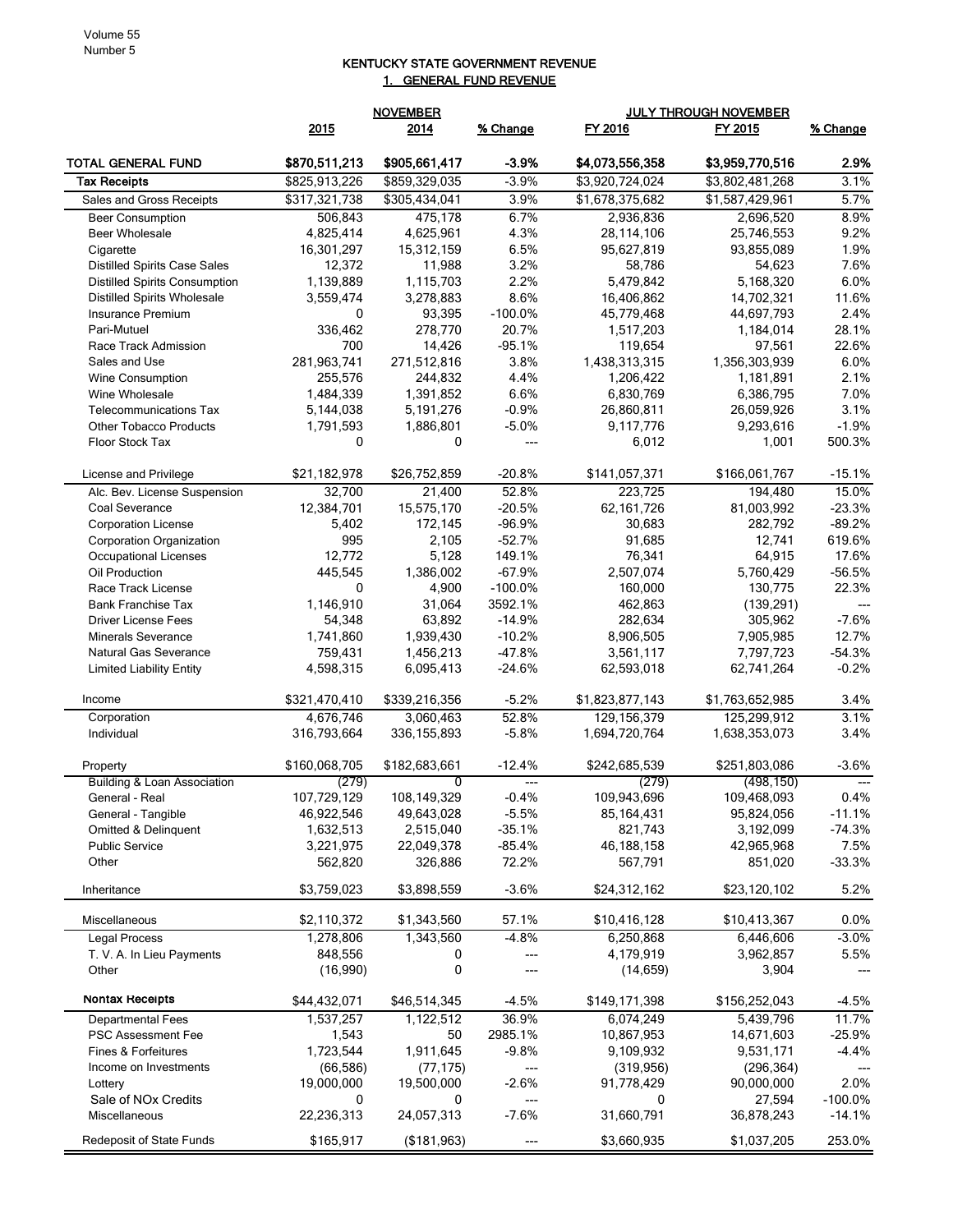## KENTUCKY STATE GOVERNMENT REVENUE 1. GENERAL FUND REVENUE

|                                                                |                | <b>NOVEMBER</b> |                    | <b>JULY THROUGH NOVEMBER</b> |                         |                    |
|----------------------------------------------------------------|----------------|-----------------|--------------------|------------------------------|-------------------------|--------------------|
|                                                                | 2015           | 2014            | % Change           | FY 2016                      | FY 2015                 | % Change           |
| TOTAL GENERAL FUND                                             | \$870,511,213  | \$905,661,417   | $-3.9%$            | \$4,073,556,358              | \$3,959,770,516         | 2.9%               |
| <b>Tax Receipts</b>                                            | \$825,913,226  | \$859,329,035   | $-3.9%$            | \$3,920,724,024              | \$3,802,481,268         | 3.1%               |
| Sales and Gross Receipts                                       | \$317,321,738  | \$305,434,041   | 3.9%               | \$1,678,375,682              | \$1,587,429,961         | 5.7%               |
| <b>Beer Consumption</b>                                        | 506,843        | 475,178         | 6.7%               | 2,936,836                    | 2,696,520               | 8.9%               |
| <b>Beer Wholesale</b>                                          | 4,825,414      | 4,625,961       | 4.3%               | 28,114,106                   | 25,746,553              | 9.2%               |
| Cigarette                                                      | 16,301,297     | 15,312,159      | 6.5%               | 95,627,819                   | 93,855,089              | 1.9%               |
| <b>Distilled Spirits Case Sales</b>                            | 12,372         | 11,988          | 3.2%               | 58,786                       | 54,623                  | 7.6%               |
| <b>Distilled Spirits Consumption</b>                           | 1,139,889      | 1,115,703       | 2.2%               | 5,479,842                    | 5,168,320               | 6.0%               |
| <b>Distilled Spirits Wholesale</b>                             | 3,559,474      | 3,278,883       | 8.6%               | 16,406,862                   | 14,702,321              | 11.6%              |
| <b>Insurance Premium</b>                                       | 0              | 93,395          | $-100.0%$          | 45,779,468                   | 44,697,793              | 2.4%               |
| Pari-Mutuel                                                    | 336,462        | 278,770         | 20.7%              | 1,517,203                    | 1,184,014               | 28.1%              |
| Race Track Admission                                           | 700            | 14,426          | $-95.1%$           | 119,654                      | 97,561                  | 22.6%              |
| Sales and Use                                                  | 281,963,741    | 271,512,816     | 3.8%               | 1,438,313,315                | 1,356,303,939           | 6.0%               |
| Wine Consumption                                               | 255,576        | 244,832         | 4.4%               | 1,206,422                    | 1,181,891               | 2.1%               |
| Wine Wholesale                                                 | 1,484,339      | 1,391,852       | 6.6%               | 6,830,769                    | 6,386,795               | 7.0%               |
| <b>Telecommunications Tax</b><br><b>Other Tobacco Products</b> | 5,144,038      | 5,191,276       | $-0.9%$            | 26,860,811<br>9,117,776      | 26,059,926<br>9,293,616 | 3.1%<br>$-1.9%$    |
|                                                                | 1,791,593<br>0 | 1,886,801<br>0  | $-5.0%$            |                              |                         |                    |
| Floor Stock Tax                                                |                |                 | ---                | 6,012                        | 1,001                   | 500.3%             |
| License and Privilege                                          | \$21,182,978   | \$26,752,859    | $-20.8%$           | \$141,057,371                | \$166,061,767           | $-15.1%$           |
| Alc. Bev. License Suspension                                   | 32,700         | 21,400          | 52.8%              | 223,725                      | 194,480                 | 15.0%              |
| Coal Severance                                                 | 12,384,701     | 15,575,170      | $-20.5%$           | 62,161,726                   | 81,003,992              | $-23.3%$           |
| <b>Corporation License</b>                                     | 5,402<br>995   | 172,145         | -96.9%<br>$-52.7%$ | 30,683                       | 282,792                 | $-89.2%$<br>619.6% |
| Corporation Organization<br>Occupational Licenses              | 12,772         | 2,105<br>5,128  | 149.1%             | 91,685<br>76,341             | 12,741<br>64,915        | 17.6%              |
| Oil Production                                                 | 445,545        | 1,386,002       | $-67.9%$           | 2,507,074                    | 5,760,429               | $-56.5%$           |
| Race Track License                                             | 0              | 4,900           | $-100.0%$          | 160,000                      | 130,775                 | 22.3%              |
| <b>Bank Franchise Tax</b>                                      | 1,146,910      | 31,064          | 3592.1%            | 462,863                      | (139, 291)              | $---$              |
| Driver License Fees                                            | 54,348         | 63,892          | $-14.9%$           | 282,634                      | 305,962                 | $-7.6%$            |
| <b>Minerals Severance</b>                                      | 1,741,860      | 1,939,430       | $-10.2%$           | 8,906,505                    | 7,905,985               | 12.7%              |
| Natural Gas Severance                                          | 759,431        | 1,456,213       | $-47.8%$           | 3,561,117                    | 7,797,723               | $-54.3%$           |
| <b>Limited Liability Entity</b>                                | 4,598,315      | 6,095,413       | $-24.6%$           | 62,593,018                   | 62,741,264              | $-0.2%$            |
| Income                                                         | \$321,470,410  | \$339,216,356   | $-5.2%$            | \$1,823,877,143              | \$1,763,652,985         | 3.4%               |
| Corporation                                                    | 4,676,746      | 3,060,463       | 52.8%              | 129,156,379                  | 125,299,912             | 3.1%               |
| Individual                                                     | 316,793,664    | 336, 155, 893   | $-5.8%$            | 1,694,720,764                | 1,638,353,073           | 3.4%               |
| Property                                                       | \$160,068,705  | \$182,683,661   | $-12.4%$           | \$242,685,539                | \$251,803,086           | $-3.6%$            |
| Building & Loan Association                                    | (279)          | 0               | ---                | (279)                        | (498, 150)              | $---$              |
| General - Real                                                 | 107,729,129    | 108,149,329     | $-0.4%$            | 109,943,696                  | 109,468,093             | 0.4%               |
| General - Tangible                                             | 46,922,546     | 49,643,028      | $-5.5%$            | 85,164,431                   | 95,824,056              | $-11.1%$           |
| Omitted & Delinquent                                           | 1,632,513      | 2,515,040       | $-35.1%$           | 821,743                      | 3,192,099               | $-74.3%$           |
| <b>Public Service</b>                                          | 3,221,975      | 22,049,378      | $-85.4%$           | 46,188,158                   | 42,965,968              | 7.5%               |
| Other                                                          | 562,820        | 326,886         | 72.2%              | 567,791                      | 851,020                 | $-33.3%$           |
| Inheritance                                                    | \$3,759,023    | \$3,898,559     | $-3.6%$            | \$24,312,162                 | \$23,120,102            | 5.2%               |
| Miscellaneous                                                  | \$2,110,372    | \$1,343,560     | 57.1%              | \$10,416,128                 | \$10,413,367            | 0.0%               |
| <b>Legal Process</b>                                           | 1,278,806      | 1,343,560       | $-4.8%$            | 6,250,868                    | 6,446,606               | $-3.0%$            |
| T. V. A. In Lieu Payments                                      | 848,556        | 0               | ---                | 4,179,919                    | 3,962,857               | 5.5%               |
| Other                                                          | (16,990)       | 0               |                    | (14, 659)                    | 3,904                   |                    |
| <b>Nontax Receipts</b>                                         | \$44,432,071   | \$46,514,345    | $-4.5%$            | \$149,171,398                | \$156,252,043           | $-4.5%$            |
| <b>Departmental Fees</b>                                       | 1,537,257      | 1,122,512       | 36.9%              | 6,074,249                    | 5,439,796               | 11.7%              |
| PSC Assessment Fee                                             | 1,543          | 50              | 2985.1%            | 10,867,953                   | 14,671,603              | $-25.9%$           |
| Fines & Forfeitures                                            | 1,723,544      | 1,911,645       | $-9.8%$            | 9,109,932                    | 9,531,171               | $-4.4%$            |
| Income on Investments                                          | (66, 586)      | (77, 175)       | ---                | (319, 956)                   | (296, 364)              |                    |
| Lottery                                                        | 19,000,000     | 19,500,000      | $-2.6%$            | 91,778,429                   | 90,000,000              | 2.0%               |
| Sale of NO <sub>x</sub> Credits                                | 0              | 0               | ---                | 0                            | 27,594                  | $-100.0%$          |
| Miscellaneous                                                  | 22,236,313     | 24,057,313      | $-7.6%$            | 31,660,791                   | 36,878,243              | $-14.1%$           |
| Redeposit of State Funds                                       | \$165,917      | (\$181,963)     |                    | \$3,660,935                  | \$1,037,205             | 253.0%             |